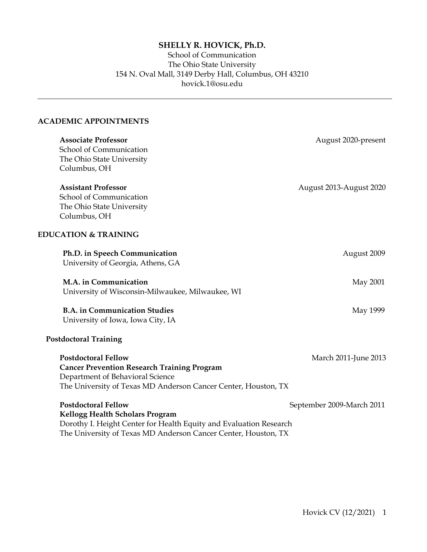# **SHELLY R. HOVICK, Ph.D.**

# School of Communication The Ohio State University 154 N. Oval Mall, 3149 Derby Hall, Columbus, OH 43210 hovick.1@osu.edu

# **ACADEMIC APPOINTMENTS**

| <b>Associate Professor</b><br>School of Communication<br>The Ohio State University<br>Columbus, OH                                                                                                           | August 2020-present       |
|--------------------------------------------------------------------------------------------------------------------------------------------------------------------------------------------------------------|---------------------------|
| <b>Assistant Professor</b><br>School of Communication<br>The Ohio State University<br>Columbus, OH                                                                                                           | August 2013-August 2020   |
| <b>EDUCATION &amp; TRAINING</b>                                                                                                                                                                              |                           |
| Ph.D. in Speech Communication<br>University of Georgia, Athens, GA                                                                                                                                           | August 2009               |
| M.A. in Communication<br>University of Wisconsin-Milwaukee, Milwaukee, WI                                                                                                                                    | May 2001                  |
| <b>B.A. in Communication Studies</b><br>University of Iowa, Iowa City, IA                                                                                                                                    | May 1999                  |
| <b>Postdoctoral Training</b>                                                                                                                                                                                 |                           |
| <b>Postdoctoral Fellow</b><br><b>Cancer Prevention Research Training Program</b><br>Department of Behavioral Science<br>The University of Texas MD Anderson Cancer Center, Houston, TX                       | March 2011-June 2013      |
| <b>Postdoctoral Fellow</b><br><b>Kellogg Health Scholars Program</b><br>Dorothy I. Height Center for Health Equity and Evaluation Research<br>The University of Texas MD Anderson Cancer Center, Houston, TX | September 2009-March 2011 |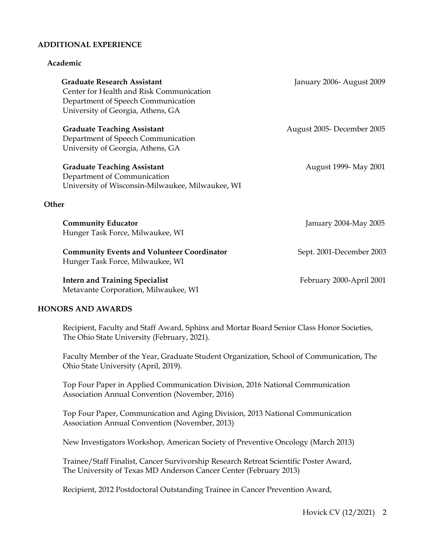#### **ADDITIONAL EXPERIENCE**

#### **Academic**

| <b>Graduate Research Assistant</b><br>Center for Health and Risk Communication<br>Department of Speech Communication<br>University of Georgia, Athens, GA | January 2006- August 2009 |
|-----------------------------------------------------------------------------------------------------------------------------------------------------------|---------------------------|
| <b>Graduate Teaching Assistant</b><br>Department of Speech Communication<br>University of Georgia, Athens, GA                                             | August 2005-December 2005 |
| <b>Graduate Teaching Assistant</b><br>Department of Communication<br>University of Wisconsin-Milwaukee, Milwaukee, WI                                     | August 1999- May 2001     |
| Other                                                                                                                                                     |                           |
| <b>Community Educator</b><br>Hunger Task Force, Milwaukee, WI                                                                                             | January 2004-May 2005     |
| <b>Community Events and Volunteer Coordinator</b><br>Hunger Task Force, Milwaukee, WI                                                                     | Sept. 2001-December 2003  |
| <b>Intern and Training Specialist</b><br>Metavante Corporation, Milwaukee, WI                                                                             | February 2000-April 2001  |
| <b>HONORS AND AWARDS</b>                                                                                                                                  |                           |

Recipient, Faculty and Staff Award, Sphinx and Mortar Board Senior Class Honor Societies, The Ohio State University (February, 2021).

Faculty Member of the Year, Graduate Student Organization, School of Communication, The Ohio State University (April, 2019).

Top Four Paper in Applied Communication Division, 2016 National Communication Association Annual Convention (November, 2016)

Top Four Paper, Communication and Aging Division, 2013 National Communication Association Annual Convention (November, 2013)

New Investigators Workshop, American Society of Preventive Oncology (March 2013)

Trainee/Staff Finalist, Cancer Survivorship Research Retreat Scientific Poster Award, The University of Texas MD Anderson Cancer Center (February 2013)

Recipient, 2012 Postdoctoral Outstanding Trainee in Cancer Prevention Award,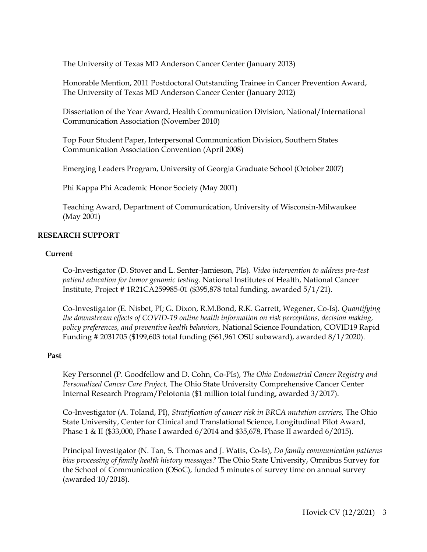The University of Texas MD Anderson Cancer Center (January 2013)

Honorable Mention, 2011 Postdoctoral Outstanding Trainee in Cancer Prevention Award, The University of Texas MD Anderson Cancer Center (January 2012)

Dissertation of the Year Award, Health Communication Division, National/International Communication Association (November 2010)

Top Four Student Paper, Interpersonal Communication Division, Southern States Communication Association Convention (April 2008)

Emerging Leaders Program, University of Georgia Graduate School (October 2007)

Phi Kappa Phi Academic Honor Society (May 2001)

Teaching Award, Department of Communication, University of Wisconsin-Milwaukee (May 2001)

# **RESEARCH SUPPORT**

#### **Current**

Co-Investigator (D. Stover and L. Senter-Jamieson, PIs). *Video intervention to address pre-test patient education for tumor genomic testing.* National Institutes of Health, National Cancer Institute, Project # 1R21CA259985-01 (\$395,878 total funding, awarded 5/1/21).

Co-Investigator (E. Nisbet, PI; G. Dixon, R.M.Bond, R.K. Garrett, Wegener, Co-Is). *Quantifying the downstream effects of COVID-19 online health information on risk perceptions, decision making, policy preferences, and preventive health behaviors,* National Science Foundation, COVID19 Rapid Funding # 2031705 (\$199,603 total funding (\$61,961 OSU subaward), awarded 8/1/2020).

#### **Past**

Key Personnel (P. Goodfellow and D. Cohn, Co-PIs), *The Ohio Endometrial Cancer Registry and Personalized Cancer Care Project,* The Ohio State University Comprehensive Cancer Center Internal Research Program/Pelotonia (\$1 million total funding, awarded 3/2017).

Co-Investigator (A. Toland, PI), *Stratification of cancer risk in BRCA mutation carriers,* The Ohio State University, Center for Clinical and Translational Science, Longitudinal Pilot Award, Phase 1 & II (\$33,000, Phase I awarded 6/2014 and \$35,678, Phase II awarded 6/2015).

Principal Investigator (N. Tan, S. Thomas and J. Watts, Co-Is), *Do family communication patterns bias processing of family health history messages?* The Ohio State University, Omnibus Survey for the School of Communication (OSoC), funded 5 minutes of survey time on annual survey (awarded 10/2018).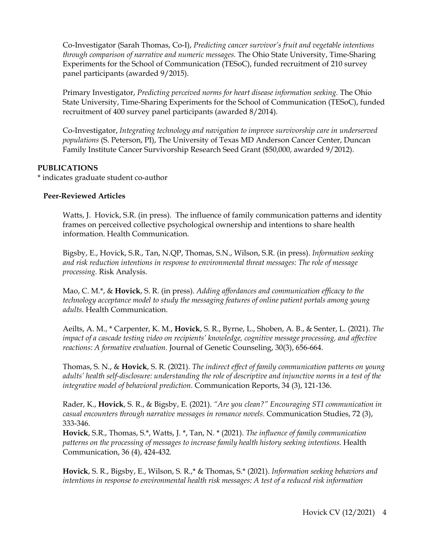Co-Investigator (Sarah Thomas, Co-I), *Predicting cancer survivor's fruit and vegetable intentions through comparison of narrative and numeric messages.* The Ohio State University, Time-Sharing Experiments for the School of Communication (TESoC), funded recruitment of 210 survey panel participants (awarded 9/2015).

Primary Investigator, *Predicting perceived norms for heart disease information seeking.* The Ohio State University, Time-Sharing Experiments for the School of Communication (TESoC), funded recruitment of 400 survey panel participants (awarded 8/2014).

Co-Investigator, *Integrating technology and navigation to improve survivorship care in underserved populations* (S. Peterson, PI), The University of Texas MD Anderson Cancer Center, Duncan Family Institute Cancer Survivorship Research Seed Grant (\$50,000, awarded 9/2012).

# **PUBLICATIONS**

\* indicates graduate student co-author

# **Peer-Reviewed Articles**

Watts, J. Hovick, S.R. (in press). The influence of family communication patterns and identity frames on perceived collective psychological ownership and intentions to share health information. Health Communication.

Bigsby, E., Hovick, S.R., Tan, N.QP, Thomas, S.N., Wilson, S.R. (in press). *Information seeking and risk reduction intentions in response to environmental threat messages: The role of message processing.* Risk Analysis.

Mao, C. M.\*, & **Hovick**, S. R. (in press). *Adding affordances and communication efficacy to the technology acceptance model to study the messaging features of online patient portals among young adults*. Health Communication.

Aeilts, A. M., \* Carpenter, K. M., **Hovick**, S. R., Byrne, L., Shoben, A. B., & Senter, L. (2021). *The impact of a cascade testing video on recipients' knowledge, cognitive message processing, and affective reactions: A formative evaluation*. Journal of Genetic Counseling, 30(3), 656-664.

Thomas, S. N., & **Hovick**, S. R. (2021). *The indirect effect of family communication patterns on young adults' health self-disclosure: understanding the role of descriptive and injunctive norms in a test of the integrative model of behavioral prediction*. Communication Reports, 34 (3), 121-136.

Rader, K., **Hovick**, S. R., & Bigsby, E. (2021). *"Are you clean?" Encouraging STI communication in casual encounters through narrative messages in romance novels*. Communication Studies, 72 (3), 333-346.

**Hovick**, S.R., Thomas, S.\*, Watts, J. \*, Tan, N. \* (2021). *The influence of family communication patterns on the processing of messages to increase family health history seeking intentions.* Health Communication, 36 (4), 424-432.

**Hovick**, S. R., Bigsby, E., Wilson, S. R.,\* & Thomas, S.\* (2021). *Information seeking behaviors and intentions in response to environmental health risk messages: A test of a reduced risk information*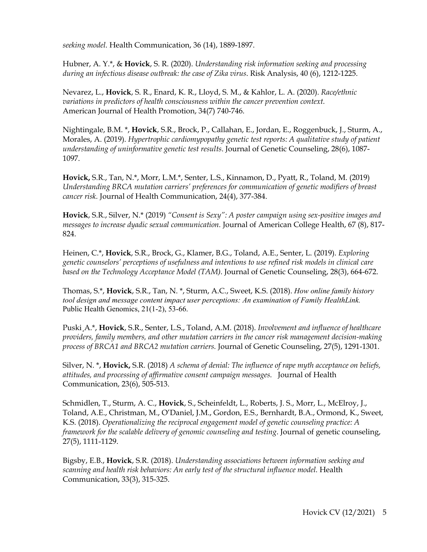*seeking model.* Health Communication, 36 (14), 1889-1897.

Hubner, A. Y.\*, & **Hovick**, S. R. (2020). *Understanding risk information seeking and processing during an infectious disease outbreak: the case of Zika virus*. Risk Analysis, 40 (6), 1212-1225.

Nevarez, L., **Hovick**, S. R., Enard, K. R., Lloyd, S. M., & Kahlor, L. A. (2020). *Race/ethnic variations in predictors of health consciousness within the cancer prevention context.*  American Journal of Health Promotion, 34(7) 740-746.

Nightingale, B.M. \*, **Hovick**, S.R., Brock, P., Callahan, E., Jordan, E., Roggenbuck, J., Sturm, A., Morales, A. (2019). *Hypertrophic cardiomypopathy genetic test reports: A qualitative study of patient understanding of uninformative genetic test results*. Journal of Genetic Counseling, 28(6), 1087- 1097.

**Hovick,** S.R., Tan, N.\*, Morr, L.M.\*, Senter, L.S., Kinnamon, D., Pyatt, R., Toland, M. (2019) *Understanding BRCA mutation carriers' preferences for communication of genetic modifiers of breast cancer risk.* Journal of Health Communication, 24(4), 377-384.

**Hovick**, S.R., Silver, N.\* (2019) *"Consent is Sexy": A poster campaign using sex-positive images and messages to increase dyadic sexual communication.* Journal of American College Health, 67 (8), 817- 824.

Heinen, C.\*, **Hovick**, S.R., Brock, G., Klamer, B.G., Toland, A.E., Senter, L. (2019). *Exploring genetic counselors' perceptions of usefulness and intentions to use refined risk models in clinical care based on the Technology Acceptance Model (TAM)*. Journal of Genetic Counseling, 28(3), 664-672.

Thomas, S.\*, **Hovick**, S.R., Tan, N. \*, Sturm, A.C., Sweet, K.S. (2018). *How online family history tool design and message content impact user perceptions: An examination of Family HealthLink.* Public Health Genomics, 21(1-2), 53-66.

Puski¸A.\*, **Hovick**, S.R., Senter, L.S., Toland, A.M. (2018). *Involvement and influence of healthcare providers, family members, and other mutation carriers in the cancer risk management decision-making process of BRCA1 and BRCA2 mutation carriers.* Journal of Genetic Counseling, 27(5), 1291-1301.

Silver, N. \*, **Hovick,** S.R. (2018) *A schema of denial: The influence of rape myth acceptance on beliefs, attitudes, and processing of affirmative consent campaign messages.* Journal of Health Communication, 23(6), 505-513.

Schmidlen, T., Sturm, A. C., **Hovick**, S., Scheinfeldt, L., Roberts, J. S., Morr, L., McElroy, J., Toland, A.E., Christman, M., O'Daniel, J.M., Gordon, E.S., Bernhardt, B.A., Ormond, K., Sweet, K.S. (2018). *Operationalizing the reciprocal engagement model of genetic counseling practice: A framework for the scalable delivery of genomic counseling and testing*. Journal of genetic counseling, 27(5), 1111-1129.

Bigsby, E.B., **Hovick**, S.R. (2018). *Understanding associations between information seeking and scanning and health risk behaviors: An early test of the structural influence model.* Health Communication, 33(3), 315-325.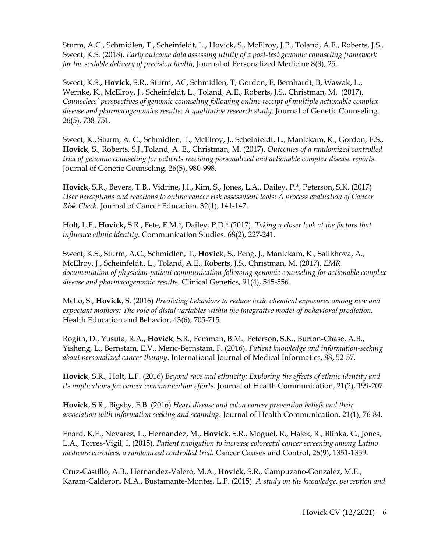Sturm, A.C., Schmidlen, T., Scheinfeldt, L., Hovick, S., McElroy, J.P., Toland, A.E., Roberts, J.S., Sweet, K.S. (2018). *Early outcome data assessing utility of a post-test genomic counseling framework for the scalable delivery of precision health*, Journal of Personalized Medicine 8(3), 25.

Sweet, K.S., **Hovick**, S.R., Sturm, AC, Schmidlen, T, Gordon, E, Bernhardt, B, Wawak, L., Wernke, K., McElroy, J., Scheinfeldt, L., Toland, A.E., Roberts, J.S., Christman, M. (2017). *Counselees' perspectives of genomic counseling following online receipt of multiple actionable complex disease and pharmacogenomics results: A qualitative research study.* Journal of Genetic Counseling. 26(5), 738-751.

Sweet, K., Sturm, A. C., Schmidlen, T., McElroy, J., Scheinfeldt, L., Manickam, K., Gordon, E.S., **Hovick**, S., Roberts, S.J.,Toland, A. E., Christman, M. (2017). *Outcomes of a randomized controlled trial of genomic counseling for patients receiving personalized and actionable complex disease reports*. Journal of Genetic Counseling, 26(5), 980-998.

**Hovick**, S.R., Bevers, T.B., Vidrine, J.I., Kim, S., Jones, L.A., Dailey, P.\*, Peterson, S.K. (2017) *User perceptions and reactions to online cancer risk assessment tools: A process evaluation of Cancer Risk Check.* Journal of Cancer Education. 32(1), 141-147.

Holt, L.F., **Hovick,** S.R., Fete, E.M.\*, Dailey, P.D.\* (2017). *Taking a closer look at the factors that influence ethnic identity.* Communication Studies. 68(2), 227-241.

Sweet, K.S., Sturm, A.C., Schmidlen, T., **Hovick**, S., Peng, J., Manickam, K., Salikhova, A., McElroy, J., Scheinfeldt., L., Toland, A.E., Roberts, J.S., Christman, M. (2017). *EMR documentation of physician-patient communication following genomic counseling for actionable complex disease and pharmacogenomic results.* Clinical Genetics, 91(4), 545-556.

Mello, S., **Hovick**, S. (2016) *Predicting behaviors to reduce toxic chemical exposures among new and expectant mothers: The role of distal variables within the integrative model of behavioral prediction.* Health Education and Behavior, 43(6), 705-715.

Rogith, D., Yusufa, R.A., **Hovick**, S.R., Femman, B.M., Peterson, S.K., Burton-Chase, A.B., Yisheng, L., Bernstam, E.V., Meric-Bernstam, F. (2016). *Patient knowledge and information-seeking about personalized cancer therapy*. International Journal of Medical Informatics, 88, 52-57.

**Hovick**, S.R., Holt, L.F. (2016) *Beyond race and ethnicity: Exploring the effects of ethnic identity and its implications for cancer communication efforts.* Journal of Health Communication, 21(2), 199-207.

**Hovick**, S.R., Bigsby, E.B. (2016) *Heart disease and colon cancer prevention beliefs and their association with information seeking and scanning.* Journal of Health Communication, 21(1), 76-84.

Enard, K.E., Nevarez, L., Hernandez, M., **Hovick**, S.R., Moguel, R., Hajek, R., Blinka, C., Jones, L.A., Torres-Vigil, I. (2015). *Patient navigation to increase colorectal cancer screening among Latino medicare enrollees: a randomized controlled trial.* Cancer Causes and Control, 26(9), 1351-1359.

Cruz-Castillo, A.B., Hernandez-Valero, M.A., **Hovick**, S.R., Campuzano-Gonzalez, M.E., Karam-Calderon, M.A., Bustamante-Montes, L.P. (2015). *A study on the knowledge, perception and*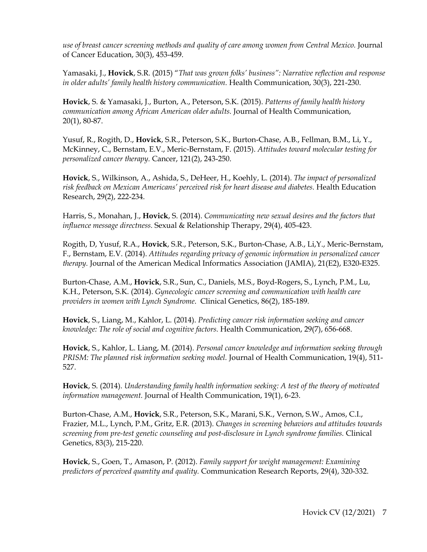*use of breast cancer screening methods and quality of care among women from Central Mexico.* Journal of Cancer Education, 30(3), 453-459.

Yamasaki, J., **Hovick**, S.R. (2015) "*That was grown folks' business": Narrative reflection and response in older adults' family health history communication.* Health Communication, 30(3), 221-230.

**Hovick**, S. & Yamasaki, J., Burton, A., Peterson, S.K. (2015). *Patterns of family health history communication among African American older adults.* Journal of Health Communication, 20(1), 80-87.

Yusuf, R., Rogith, D., **Hovick**, S.R., Peterson, S.K., Burton-Chase, A.B., Fellman, B.M., Li, Y., McKinney, C., Bernstam, E.V., Meric-Bernstam, F. (2015). *Attitudes toward molecular testing for personalized cancer therapy.* Cancer, 121(2), 243-250.

**Hovick**, S., Wilkinson, A., Ashida, S., DeHeer, H., Koehly, L. (2014). *The impact of personalized* risk feedback on Mexican Americans' perceived risk for heart disease and diabetes. Health Education Research, 29(2), 222-234.

Harris, S., Monahan, J., **Hovick**, S. (2014). *Communicating new sexual desires and the factors that influence message directness.* Sexual & Relationship Therapy, 29(4), 405-423.

Rogith, D, Yusuf, R.A., **Hovick**, S.R., Peterson, S.K., Burton-Chase, A.B., Li,Y., Meric-Bernstam, F., Bernstam, E.V. (2014). *Attitudes regarding privacy of genomic information in personalized cancer therapy.* Journal of the American Medical Informatics Association (JAMIA), 21(E2), E320-E325.

Burton-Chase, A.M., **Hovick**, S.R., Sun, C., Daniels, M.S., Boyd-Rogers, S., Lynch, P.M., Lu, K.H., Peterson, S.K. (2014). *Gynecologic cancer screening and communication with health care providers in women with Lynch Syndrome*. Clinical Genetics, 86(2), 185-189.

**Hovick**, S., Liang, M., Kahlor, L. (2014). *Predicting cancer risk information seeking and cancer knowledge: The role of social and cognitive factors.* Health Communication, 29(7), 656-668.

**Hovick**, S., Kahlor, L. Liang, M. (2014). *Personal cancer knowledge and information seeking through PRISM: The planned risk information seeking model.* Journal of Health Communication, 19(4), 511- 527.

**Hovick**, S. (2014). *Understanding family health information seeking: A test of the theory of motivated information management.* Journal of Health Communication, 19(1), 6-23.

Burton-Chase, A.M., **Hovick**, S.R., Peterson, S.K., Marani, S.K., Vernon, S.W., Amos, C.I., Frazier, M.L., Lynch, P.M., Gritz, E.R. (2013). *Changes in screening behaviors and attitudes towards screening from pre-test genetic counseling and post-disclosure in Lynch syndrome families.* Clinical Genetics, 83(3), 215-220.

**Hovick**, S., Goen, T., Amason, P. (2012). *Family support for weight management: Examining predictors of perceived quantity and quality.* Communication Research Reports, 29(4), 320-332.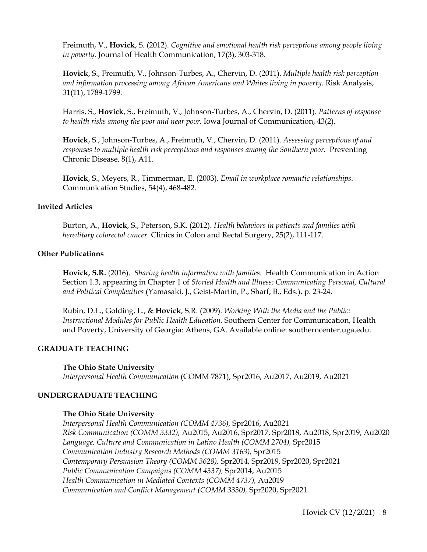Freimuth, V., **Hovick**, S. (2012). *Cognitive and emotional health risk perceptions among people living in poverty.* Journal of Health Communication, 17(3), 303-318.

**Hovick**, S., Freimuth, V., Johnson-Turbes, A., Chervin, D. (2011). *Multiple health risk perception and information processing among African Americans and Whites living in poverty.* Risk Analysis, 31(11), 1789-1799.

Harris, S., **Hovick**, S., Freimuth, V., Johnson-Turbes, A., Chervin, D. (2011). *Patterns of response to health risks among the poor and near poor.* Iowa Journal of Communication, 43(2).

**Hovick**, S., Johnson-Turbes, A., Freimuth, V., Chervin, D. (2011). *Assessing perceptions of and responses to multiple health risk perceptions and responses among the Southern poor.* Preventing Chronic Disease, 8(1), A11.

**Hovick**, S., Meyers, R., Timmerman, E. (2003). *Email in workplace romantic relationships*. Communication Studies, 54(4), 468-482.

# **Invited Articles**

Burton, A., **Hovick**, S., Peterson, S.K. (2012). *Health behaviors in patients and families with hereditary colorectal cancer.* Clinics in Colon and Rectal Surgery, 25(2), 111-117.

#### **Other Publications**

**Hovick, S.R.** (2016). *Sharing health information with families.* Health Communication in Action Section 1.3, appearing in Chapter 1 of *Storied Health and Illness: Communicating Personal, Cultural and Political Complexities* (Yamasaki, J., Geist-Martin, P., Sharf, B., Eds.), p. 23-24.

Rubin, D.L., Golding, L., & **Hovick**, S.R. (2009). *Working With the Media and the Public: Instructional Modules for Public Health Education.* Southern Center for Communication, Health and Poverty, University of Georgia: Athens, GA. Available online: southerncenter.uga.edu.

# **GRADUATE TEACHING**

#### **The Ohio State University**

*Interpersonal Health Communication* (COMM 7871), Spr2016, Au2017, Au2019, Au2021

#### **UNDERGRADUATE TEACHING**

#### **The Ohio State University**

*Interpersonal Health Communication (COMM 4736),* Spr2016, Au2021 *Risk Communication (COMM 3332),* Au2015, Au2016, Spr2017, Spr2018, Au2018, Spr2019, Au2020 *Language, Culture and Communication in Latino Health (COMM 2704),* Spr2015 *Communication Industry Research Methods (COMM 3163),* Spr2015 *Contemporary Persuasion Theory (COMM 3628),* Spr2014, Spr2019, Spr2020, Spr2021 *Public Communication Campaigns (COMM 4337),* Spr2014, Au2015 *Health Communication in Mediated Contexts (COMM 4737),* Au2019 *Communication and Conflict Management (COMM 3330),* Spr2020, Spr2021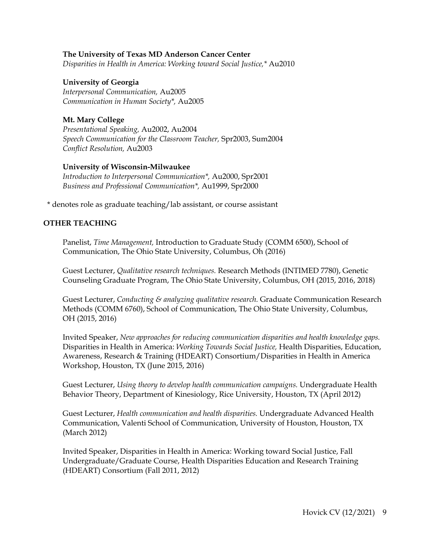#### **The University of Texas MD Anderson Cancer Center**

*Disparities in Health in America: Working toward Social Justice,\** Au2010

# **University of Georgia** *Interpersonal Communication,* Au2005 *Communication in Human Society\*,* Au2005

# **Mt. Mary College**

*Presentational Speaking,* Au2002, Au2004 *Speech Communication for the Classroom Teacher,* Spr2003, Sum2004 *Conflict Resolution,* Au2003

# **University of Wisconsin-Milwaukee**

*Introduction to Interpersonal Communication\*,* Au2000, Spr2001 *Business and Professional Communication\*,* Au1999, Spr2000

\* denotes role as graduate teaching/lab assistant, or course assistant

# **OTHER TEACHING**

Panelist, *Time Management,* Introduction to Graduate Study (COMM 6500), School of Communication, The Ohio State University, Columbus, Oh (2016)

Guest Lecturer, *Qualitative research techniques.* Research Methods (INTIMED 7780), Genetic Counseling Graduate Program, The Ohio State University, Columbus, OH (2015, 2016, 2018)

Guest Lecturer, *Conducting & analyzing qualitative research.* Graduate Communication Research Methods (COMM 6760), School of Communication, The Ohio State University, Columbus, OH (2015, 2016)

Invited Speaker, *New approaches for reducing communication disparities and health knowledge gaps.*  Disparities in Health in America: *Working Towards Social Justice,* Health Disparities, Education, Awareness, Research & Training (HDEART) Consortium/Disparities in Health in America Workshop, Houston, TX (June 2015, 2016)

Guest Lecturer, *Using theory to develop health communication campaigns.* Undergraduate Health Behavior Theory, Department of Kinesiology, Rice University, Houston, TX (April 2012)

Guest Lecturer, *Health communication and health disparities.* Undergraduate Advanced Health Communication, Valenti School of Communication, University of Houston, Houston, TX (March 2012)

Invited Speaker, Disparities in Health in America: Working toward Social Justice, Fall Undergraduate/Graduate Course, Health Disparities Education and Research Training (HDEART) Consortium (Fall 2011, 2012)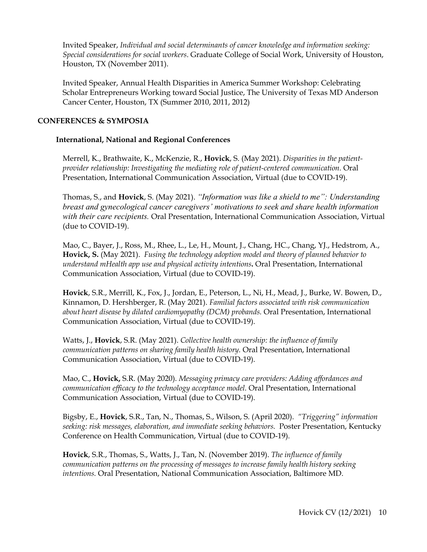Invited Speaker, *Individual and social determinants of cancer knowledge and information seeking: Special considerations for social workers*. Graduate College of Social Work, University of Houston, Houston, TX (November 2011).

Invited Speaker, Annual Health Disparities in America Summer Workshop: Celebrating Scholar Entrepreneurs Working toward Social Justice, The University of Texas MD Anderson Cancer Center, Houston, TX (Summer 2010, 2011, 2012)

# **CONFERENCES & SYMPOSIA**

# **International, National and Regional Conferences**

Merrell, K., Brathwaite, K., McKenzie, R., **Hovick**, S. (May 2021). *Disparities in the patientprovider relationship: Investigating the mediating role of patient-centered communication.* Oral Presentation, International Communication Association, Virtual (due to COVID-19).

Thomas, S., and **Hovick**, S. (May 2021). *"Information was like a shield to me": Understanding breast and gynecological cancer caregivers' motivations to seek and share health information with their care recipients.* Oral Presentation, International Communication Association, Virtual (due to COVID-19).

Mao, C., Bayer, J., Ross, M., Rhee, L., Le, H., Mount, J., Chang, HC., Chang, YJ., Hedstrom, A., **Hovick, S.** (May 2021). *Fusing the technology adoption model and theory of planned behavior to understand mHealth app use and physical activity intentions***.** Oral Presentation, International Communication Association, Virtual (due to COVID-19).

**Hovick**, S.R., Merrill, K., Fox, J., Jordan, E., Peterson, L., Ni, H., Mead, J., Burke, W. Bowen, D., Kinnamon, D. Hershberger, R. (May 2021). *Familial factors associated with risk communication about heart disease by dilated cardiomyopathy (DCM) probands.* Oral Presentation, International Communication Association, Virtual (due to COVID-19).

Watts, J., **Hovick**, S.R. (May 2021). *Collective health ownership: the influence of family communication patterns on sharing family health history.* Oral Presentation, International Communication Association, Virtual (due to COVID-19).

Mao, C., **Hovick,** S.R. (May 2020). *Messaging primacy care providers: Adding affordances and communication efficacy to the technology acceptance model.* Oral Presentation, International Communication Association, Virtual (due to COVID-19).

Bigsby, E., **Hovick**, S.R., Tan, N., Thomas, S., Wilson, S. (April 2020). *"Triggering" information seeking: risk messages, elaboration, and immediate seeking behaviors.* Poster Presentation, Kentucky Conference on Health Communication, Virtual (due to COVID-19).

**Hovick**, S.R., Thomas, S., Watts, J., Tan, N. (November 2019). *The influence of family communication patterns on the processing of messages to increase family health history seeking intentions.* Oral Presentation, National Communication Association, Baltimore MD.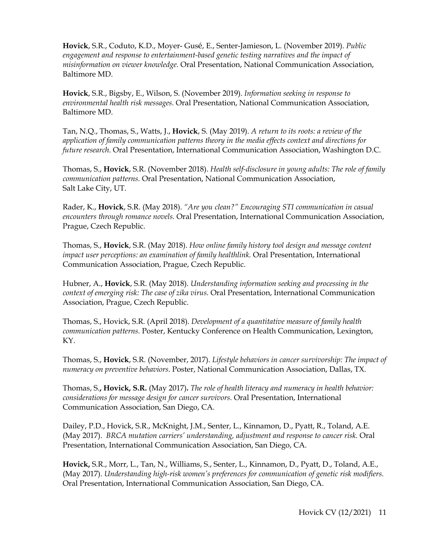**Hovick**, S.R., Coduto, K.D., Moyer- Gusé, E., Senter-Jamieson, L. (November 2019). *Public engagement and response to entertainment-based genetic testing narratives and the impact of misinformation on viewer knowledge.* Oral Presentation, National Communication Association, Baltimore MD.

**Hovick**, S.R., Bigsby, E., Wilson, S. (November 2019). *Information seeking in response to environmental health risk messages.* Oral Presentation, National Communication Association, Baltimore MD.

Tan, N.Q., Thomas, S., Watts, J., **Hovick**, S. (May 2019). *A return to its roots: a review of the application of family communication patterns theory in the media effects context and directions for future research*. Oral Presentation, International Communication Association, Washington D.C.

Thomas, S., **Hovick**, S.R. (November 2018). *Health self-disclosure in young adults: The role of family communication patterns.* Oral Presentation, National Communication Association, Salt Lake City, UT.

Rader, K., **Hovick**, S.R. (May 2018). *"Are you clean?" Encouraging STI communication in casual encounters through romance novels.* Oral Presentation, International Communication Association, Prague, Czech Republic.

Thomas, S., **Hovick**, S.R. (May 2018). *How online family history tool design and message content impact user perceptions: an examination of family healthlink.* Oral Presentation, International Communication Association, Prague, Czech Republic.

Hubner, A., **Hovick**, S.R. (May 2018). *Understanding information seeking and processing in the context of emerging risk: The case of zika virus.* Oral Presentation, International Communication Association, Prague, Czech Republic.

Thomas, S., Hovick, S.R. (April 2018). *Development of a quantitative measure of family health communication patterns.* Poster, Kentucky Conference on Health Communication, Lexington, KY.

Thomas, S., **Hovick**, S.R. (November, 2017). *Lifestyle behaviors in cancer survivorship: The impact of numeracy on preventive behaviors.* Poster, National Communication Association, Dallas, TX.

Thomas, S.**, Hovick, S.R.** (May 2017)**.** *The role of health literacy and numeracy in health behavior: considerations for message design for cancer survivors.* Oral Presentation, International Communication Association, San Diego, CA.

Dailey, P.D., Hovick, S.R., McKnight, J.M., Senter, L., Kinnamon, D., Pyatt, R., Toland, A.E. (May 2017). *BRCA mutation carriers' understanding, adjustment and response to cancer risk.* Oral Presentation, International Communication Association, San Diego, CA.

**Hovick,** S.R., Morr, L., Tan, N., Williams, S., Senter, L., Kinnamon, D., Pyatt, D., Toland, A.E., (May 2017). *Understanding high-risk women's preferences for communication of genetic risk modifiers.*  Oral Presentation, International Communication Association, San Diego, CA.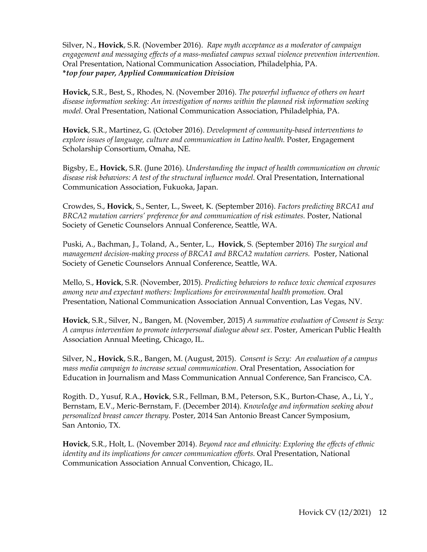Silver, N., **Hovick**, S.R. (November 2016). *Rape myth acceptance as a moderator of campaign engagement and messaging effects of a mass-mediated campus sexual violence prevention intervention.*  Oral Presentation, National Communication Association, Philadelphia, PA. **\****top four paper, Applied Communication Division*

**Hovick,** S.R., Best, S., Rhodes, N. (November 2016). *The powerful influence of others on heart disease information seeking: An investigation of norms within the planned risk information seeking model.* Oral Presentation, National Communication Association, Philadelphia, PA.

**Hovick**, S.R., Martinez, G. (October 2016). *Development of community-based interventions to explore issues of language, culture and communication in Latino health.* Poster, Engagement Scholarship Consortium, Omaha, NE.

Bigsby, E., **Hovick**, S.R. (June 2016). *Understanding the impact of health communication on chronic disease risk behaviors: A test of the structural influence model.* Oral Presentation, International Communication Association, Fukuoka, Japan.

Crowdes, S., **Hovick**, S., Senter, L., Sweet, K. (September 2016). *Factors predicting BRCA1 and BRCA2 mutation carriers' preference for and communication of risk estimates.* Poster, National Society of Genetic Counselors Annual Conference, Seattle, WA.

Puski, A., Bachman, J., Toland, A., Senter, L., **Hovick**, S. (September 2016) *The surgical and management decision-making process of BRCA1 and BRCA2 mutation carriers.* Poster, National Society of Genetic Counselors Annual Conference, Seattle, WA.

Mello, S., **Hovick**, S.R. (November, 2015). *Predicting behaviors to reduce toxic chemical exposures among new and expectant mothers: Implications for environmental health promotion.* Oral Presentation, National Communication Association Annual Convention, Las Vegas, NV.

**Hovick**, S.R., Silver, N., Bangen, M. (November, 2015) *A summative evaluation of Consent is Sexy: A campus intervention to promote interpersonal dialogue about sex.* Poster, American Public Health Association Annual Meeting, Chicago, IL.

Silver, N., **Hovick**, S.R., Bangen, M. (August, 2015). *Consent is Sexy: An evaluation of a campus mass media campaign to increase sexual communication.* Oral Presentation, Association for Education in Journalism and Mass Communication Annual Conference, San Francisco, CA.

Rogith. D., Yusuf, R.A., **Hovick**, S.R., Fellman, B.M., Peterson, S.K., Burton-Chase, A., Li, Y., Bernstam, E.V., Meric-Bernstam, F. (December 2014). *Knowledge and information seeking about personalized breast cancer therapy.* Poster, 2014 San Antonio Breast Cancer Symposium, San Antonio, TX.

**Hovick**, S.R., Holt, L. (November 2014). *Beyond race and ethnicity: Exploring the effects of ethnic identity and its implications for cancer communication efforts.* Oral Presentation, National Communication Association Annual Convention, Chicago, IL.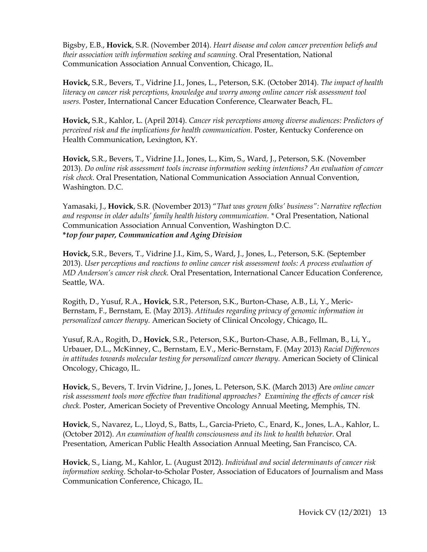Bigsby, E.B., **Hovick**, S.R. (November 2014). *Heart disease and colon cancer prevention beliefs and their association with information seeking and scanning.* Oral Presentation, National Communication Association Annual Convention, Chicago, IL.

**Hovick,** S.R., Bevers, T., Vidrine J.I., Jones, L., Peterson, S.K. (October 2014). *The impact of health literacy on cancer risk perceptions, knowledge and worry among online cancer risk assessment tool users.* Poster, International Cancer Education Conference, Clearwater Beach, FL.

**Hovick,** S.R., Kahlor, L. (April 2014). *Cancer risk perceptions among diverse audiences: Predictors of perceived risk and the implications for health communication.* Poster, Kentucky Conference on Health Communication, Lexington, KY.

**Hovick,** S.R., Bevers, T., Vidrine J.I., Jones, L., Kim, S., Ward, J., Peterson, S.K. (November 2013). *Do online risk assessment tools increase information seeking intentions? An evaluation of cancer risk check.* Oral Presentation, National Communication Association Annual Convention, Washington. D.C.

Yamasaki, J., **Hovick**, S.R. (November 2013) "*That was grown folks' business": Narrative reflection and response in older adults' family health history communication. \** Oral Presentation, National Communication Association Annual Convention, Washington D.C. **\****top four paper, Communication and Aging Division*

**Hovick,** S.R., Bevers, T., Vidrine J.I., Kim, S., Ward, J., Jones, L., Peterson, S.K. (September 2013). *User perceptions and reactions to online cancer risk assessment tools: A process evaluation of MD Anderson's cancer risk check.* Oral Presentation, International Cancer Education Conference, Seattle, WA.

Rogith, D., Yusuf, R.A., **Hovick**, S.R., Peterson, S.K., Burton-Chase, A.B., Li, Y., Meric-Bernstam, F., Bernstam, E. (May 2013). *Attitudes regarding privacy of genomic information in personalized cancer therapy.* American Society of Clinical Oncology, Chicago, IL.

Yusuf, R.A., Rogith, D., **Hovick**, S.R., Peterson, S.K., Burton-Chase, A.B., Fellman, B., Li, Y., Urbauer, D.L., McKinney, C., Bernstam, E.V., Meric-Bernstam, F. (May 2013) *Racial Differences in attitudes towards molecular testing for personalized cancer therapy.* American Society of Clinical Oncology, Chicago, IL.

**Hovick**, S., Bevers, T. Irvin Vidrine, J., Jones, L. Peterson, S.K. (March 2013) Are *online cancer risk assessment tools more effective than traditional approaches? Examining the effects of cancer risk check.* Poster, American Society of Preventive Oncology Annual Meeting, Memphis, TN.

**Hovick**, S., Navarez, L., Lloyd, S., Batts, L., Garcia-Prieto, C., Enard, K., Jones, L.A., Kahlor, L. (October 2012). *An examination of health consciousness and its link to health behavior.* Oral Presentation, American Public Health Association Annual Meeting, San Francisco, CA.

**Hovick**, S., Liang, M., Kahlor, L. (August 2012). *Individual and social determinants of cancer risk information seeking.* Scholar-to-Scholar Poster, Association of Educators of Journalism and Mass Communication Conference, Chicago, IL.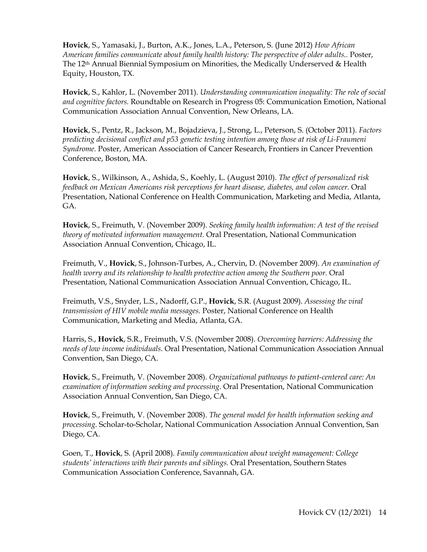**Hovick**, S., Yamasaki, J., Burton, A.K., Jones, L.A., Peterson, S. (June 2012) *How African American families communicate about family health history: The perspective of older adults..* Poster, The 12th Annual Biennial Symposium on Minorities, the Medically Underserved & Health Equity, Houston, TX.

**Hovick**, S., Kahlor, L. (November 2011). *Understanding communication inequality: The role of social and cognitive factors.* Roundtable on Research in Progress 05: Communication Emotion, National Communication Association Annual Convention, New Orleans, LA.

**Hovick**, S., Pentz, R., Jackson, M., Bojadzieva, J., Strong, L., Peterson, S. (October 2011). *Factors predicting decisional conflict and p53 genetic testing intention among those at risk of Li-Fraumeni Syndrome.* Poster, American Association of Cancer Research, Frontiers in Cancer Prevention Conference, Boston, MA.

**Hovick**, S., Wilkinson, A., Ashida, S., Koehly, L. (August 2010). *The effect of personalized risk feedback on Mexican Americans risk perceptions for heart disease, diabetes, and colon cancer.* Oral Presentation, National Conference on Health Communication, Marketing and Media, Atlanta, GA.

**Hovick**, S., Freimuth, V. (November 2009). *Seeking family health information: A test of the revised theory of motivated information management.* Oral Presentation, National Communication Association Annual Convention, Chicago, IL.

Freimuth, V., **Hovick**, S., Johnson-Turbes, A., Chervin, D. (November 2009). *An examination of health worry and its relationship to health protective action among the Southern poor.* Oral Presentation, National Communication Association Annual Convention, Chicago, IL.

Freimuth, V.S., Snyder, L.S., Nadorff, G.P., **Hovick**, S.R. (August 2009). *Assessing the viral transmission of HIV mobile media messages.* Poster, National Conference on Health Communication, Marketing and Media, Atlanta, GA.

Harris, S., **Hovick**, S.R., Freimuth, V.S. (November 2008). *Overcoming barriers: Addressing the needs of low income individuals*. Oral Presentation, National Communication Association Annual Convention, San Diego, CA.

**Hovick**, S., Freimuth, V. (November 2008). *Organizational pathways to patient-centered care: An examination of information seeking and processing*. Oral Presentation, National Communication Association Annual Convention, San Diego, CA.

**Hovick**, S., Freimuth, V. (November 2008). *The general model for health information seeking and processing*. Scholar-to-Scholar, National Communication Association Annual Convention, San Diego, CA.

Goen, T., **Hovick**, S. (April 2008). *Family communication about weight management: College students' interactions with their parents and siblings.* Oral Presentation, Southern States Communication Association Conference, Savannah, GA.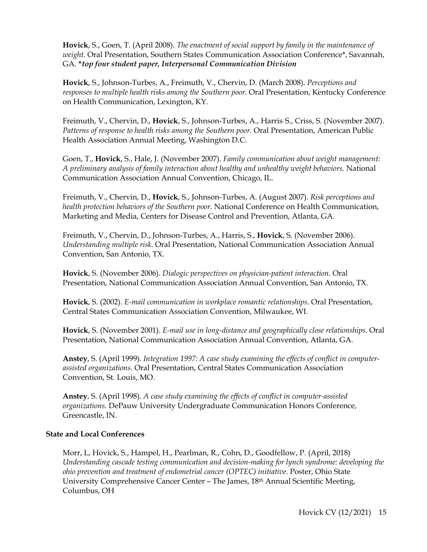**Hovick**, S., Goen, T. (April 2008). *The enactment of social support by family in the maintenance of weight.* Oral Presentation, Southern States Communication Association Conference\*, Savannah, GA. **\****top four student paper, Interpersonal Communication Division*

**Hovick**, S., Johnson-Turbes, A., Freimuth, V., Chervin, D. (March 2008). *Perceptions and responses to multiple health risks among the Southern poor.* Oral Presentation, Kentucky Conference on Health Communication, Lexington, KY.

Freimuth, V., Chervin, D., **Hovick**, S., Johnson-Turbes, A., Harris, S., Criss, S. (November 2007). *Patterns of response to health risks among the Southern poor.* Oral Presentation, American Public Health Association Annual Meeting, Washington D.C.

Goen, T., **Hovick**, S., Hale, J. (November 2007)*. Family communication about weight management: A preliminary analysis of family interaction about healthy and unhealthy weight behaviors.* National Communication Association Annual Convention, Chicago, IL.

Freimuth, V., Chervin, D., **Hovick**, S., Johnson-Turbes, A. (August 2007). *Risk perceptions and health protection behaviors of the Southern poor.* National Conference on Health Communication, Marketing and Media, Centers for Disease Control and Prevention, Atlanta, GA.

Freimuth, V., Chervin, D., Johnson-Turbes, A., Harris, S., **Hovick**, S. (November 2006). *Understanding multiple risk*. Oral Presentation, National Communication Association Annual Convention, San Antonio, TX.

**Hovick**, S. (November 2006). *Dialogic perspectives on physician-patient interaction*. Oral Presentation, National Communication Association Annual Convention, San Antonio, TX.

**Hovick**, S. (2002). *E-mail communication in workplace romantic relationships*. Oral Presentation, Central States Communication Association Convention, Milwaukee, WI.

**Hovick**, S. (November 2001). *E-mail use in long-distance and geographically close relationships*. Oral Presentation, National Communication Association Annual Convention, Atlanta, GA.

**Anstey**, S. (April 1999). *Integration 1997: A case study examining the effects of conflict in computerassisted organizations*. Oral Presentation, Central States Communication Association Convention, St. Louis, MO.

**Anstey**, S. (April 1998). *A case study examining the effects of conflict in computer-assisted organizations*. DePauw University Undergraduate Communication Honors Conference, Greencastle, IN.

# **State and Local Conferences**

Morr, L, Hovick, S., Hampel, H., Pearlman, R., Cohn, D., Goodfellow, P. (April, 2018) *Understanding cascade testing communication and decision-making for lynch syndrome: developing the ohio prevention and treatment of endometrial cancer (OPTEC) initiative.* Poster, Ohio State University Comprehensive Cancer Center – The James, 18th Annual Scientific Meeting, Columbus, OH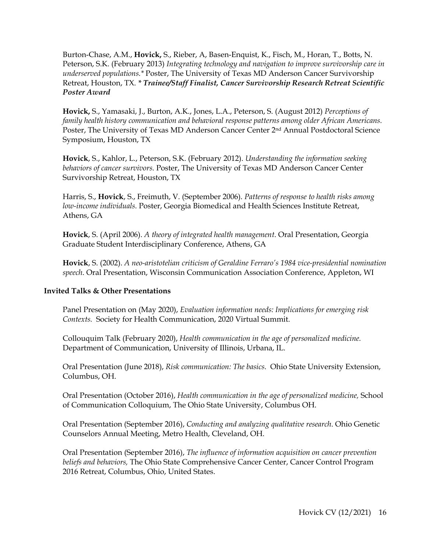Burton-Chase, A.M., **Hovick,** S., Rieber, A, Basen-Enquist, K., Fisch, M., Horan, T., Botts, N. Peterson, S.K. (February 2013) *Integrating technology and navigation to improve survivorship care in underserved populations.\** Poster, The University of Texas MD Anderson Cancer Survivorship Retreat, Houston, TX. *\* Trainee/Staff Finalist, Cancer Survivorship Research Retreat Scientific Poster Award*

**Hovick,** S., Yamasaki, J., Burton, A.K., Jones, L.A., Peterson, S. (August 2012) *Perceptions of family health history communication and behavioral response patterns among older African Americans.* Poster, The University of Texas MD Anderson Cancer Center 2nd Annual Postdoctoral Science Symposium, Houston, TX

**Hovick**, S., Kahlor, L., Peterson, S.K. (February 2012). *Understanding the information seeking behaviors of cancer survivors.* Poster, The University of Texas MD Anderson Cancer Center Survivorship Retreat, Houston, TX

Harris, S., **Hovick**, S., Freimuth, V. (September 2006). *Patterns of response to health risks among low-income individuals.* Poster, Georgia Biomedical and Health Sciences Institute Retreat, Athens, GA

**Hovick**, S. (April 2006). *A theory of integrated health management*. Oral Presentation, Georgia Graduate Student Interdisciplinary Conference, Athens, GA

**Hovick**, S. (2002). *A neo-aristotelian criticism of Geraldine Ferraro's 1984 vice-presidential nomination speech*. Oral Presentation, Wisconsin Communication Association Conference, Appleton, WI

# **Invited Talks & Other Presentations**

Panel Presentation on (May 2020), *Evaluation information needs: Implications for emerging risk Contexts.* Society for Health Communication, 2020 Virtual Summit.

Collouquim Talk (February 2020), *Health communication in the age of personalized medicine.* Department of Communication, University of Illinois, Urbana, IL.

Oral Presentation (June 2018), *Risk communication: The basics.* Ohio State University Extension, Columbus, OH.

Oral Presentation (October 2016), *Health communication in the age of personalized medicine,* School of Communication Colloquium, The Ohio State University, Columbus OH.

Oral Presentation (September 2016), *Conducting and analyzing qualitative research*. Ohio Genetic Counselors Annual Meeting, Metro Health, Cleveland, OH.

Oral Presentation (September 2016), *The influence of information acquisition on cancer prevention beliefs and behaviors,* The Ohio State Comprehensive Cancer Center, Cancer Control Program 2016 Retreat, Columbus, Ohio, United States.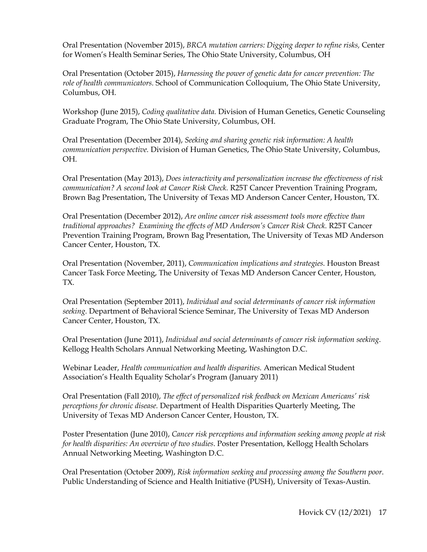Oral Presentation (November 2015), *BRCA mutation carriers: Digging deeper to refine risks,* Center for Women's Health Seminar Series, The Ohio State University, Columbus, OH

Oral Presentation (October 2015), *Harnessing the power of genetic data for cancer prevention: The role of health communicators.* School of Communication Colloquium, The Ohio State University, Columbus, OH.

Workshop (June 2015), *Coding qualitative data.* Division of Human Genetics, Genetic Counseling Graduate Program, The Ohio State University, Columbus, OH.

Oral Presentation (December 2014), *Seeking and sharing genetic risk information: A health communication perspective.* Division of Human Genetics, The Ohio State University, Columbus, OH.

Oral Presentation (May 2013), *Does interactivity and personalization increase the effectiveness of risk communication? A second look at Cancer Risk Check.* R25T Cancer Prevention Training Program, Brown Bag Presentation, The University of Texas MD Anderson Cancer Center, Houston, TX.

Oral Presentation (December 2012), *Are online cancer risk assessment tools more effective than traditional approaches? Examining the effects of MD Anderson's Cancer Risk Check.* R25T Cancer Prevention Training Program, Brown Bag Presentation, The University of Texas MD Anderson Cancer Center, Houston, TX.

Oral Presentation (November, 2011), *Communication implications and strategies.* Houston Breast Cancer Task Force Meeting, The University of Texas MD Anderson Cancer Center, Houston, TX.

Oral Presentation (September 2011), *Individual and social determinants of cancer risk information seeking.* Department of Behavioral Science Seminar, The University of Texas MD Anderson Cancer Center, Houston, TX.

Oral Presentation (June 2011), *Individual and social determinants of cancer risk information seeking*. Kellogg Health Scholars Annual Networking Meeting, Washington D.C.

Webinar Leader, *Health communication and health disparities.* American Medical Student Association's Health Equality Scholar's Program (January 2011)

Oral Presentation (Fall 2010), *The effect of personalized risk feedback on Mexican Americans' risk perceptions for chronic disease.* Department of Health Disparities Quarterly Meeting, The University of Texas MD Anderson Cancer Center, Houston, TX.

Poster Presentation (June 2010), *Cancer risk perceptions and information seeking among people at risk for health disparities: An overview of two studies*. Poster Presentation, Kellogg Health Scholars Annual Networking Meeting, Washington D.C.

Oral Presentation (October 2009), *Risk information seeking and processing among the Southern poor*. Public Understanding of Science and Health Initiative (PUSH), University of Texas-Austin.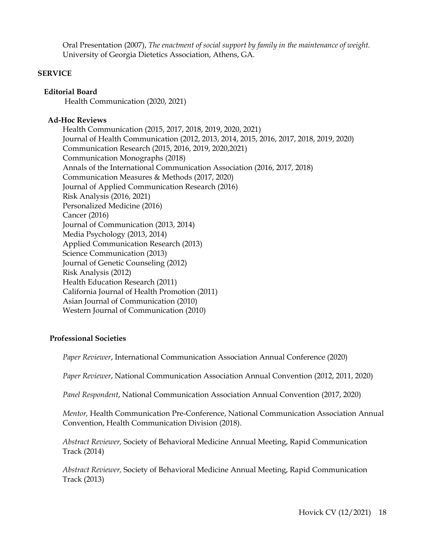Oral Presentation (2007), *The enactment of social support by family in the maintenance of weight.* University of Georgia Dietetics Association, Athens, GA.

# **SERVICE**

# **Editorial Board**

Health Communication (2020, 2021)

# **Ad-Hoc Reviews**

Health Communication (2015, 2017, 2018, 2019, 2020, 2021) Journal of Health Communication (2012, 2013, 2014, 2015, 2016, 2017, 2018, 2019, 2020) Communication Research (2015, 2016, 2019, 2020,2021) Communication Monographs (2018) Annals of the International Communication Association (2016, 2017, 2018) Communication Measures & Methods (2017, 2020) Journal of Applied Communication Research (2016) Risk Analysis (2016, 2021) Personalized Medicine (2016) Cancer (2016) Journal of Communication (2013, 2014) Media Psychology (2013, 2014) Applied Communication Research (2013) Science Communication (2013) Journal of Genetic Counseling (2012) Risk Analysis (2012) Health Education Research (2011) California Journal of Health Promotion (2011) Asian Journal of Communication (2010) Western Journal of Communication (2010)

#### **Professional Societies**

*Paper Reviewer*, International Communication Association Annual Conference (2020)

*Paper Reviewer*, National Communication Association Annual Convention (2012, 2011, 2020)

*Panel Respondent*, National Communication Association Annual Convention (2017, 2020)

*Mentor,* Health Communication Pre-Conference, National Communication Association Annual Convention, Health Communication Division (2018).

*Abstract Reviewer,* Society of Behavioral Medicine Annual Meeting, Rapid Communication Track (2014)

*Abstract Reviewer,* Society of Behavioral Medicine Annual Meeting, Rapid Communication Track (2013)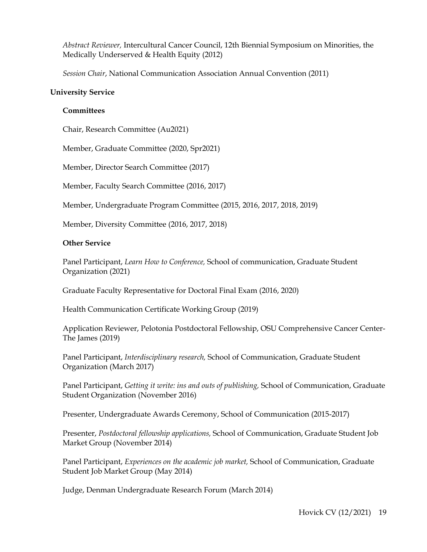*Abstract Reviewer,* Intercultural Cancer Council, 12th Biennial Symposium on Minorities, the Medically Underserved & Health Equity (2012)

*Session Chair*, National Communication Association Annual Convention (2011)

#### **University Service**

#### **Committees**

Chair, Research Committee (Au2021)

Member, Graduate Committee (2020, Spr2021)

Member, Director Search Committee (2017)

Member, Faculty Search Committee (2016, 2017)

Member, Undergraduate Program Committee (2015, 2016, 2017, 2018, 2019)

Member, Diversity Committee (2016, 2017, 2018)

#### **Other Service**

Panel Participant, *Learn How to Conference,* School of communication, Graduate Student Organization (2021)

Graduate Faculty Representative for Doctoral Final Exam (2016, 2020)

Health Communication Certificate Working Group (2019)

Application Reviewer, Pelotonia Postdoctoral Fellowship, OSU Comprehensive Cancer Center-The James (2019)

Panel Participant, *Interdisciplinary research,* School of Communication, Graduate Student Organization (March 2017)

Panel Participant, *Getting it write: ins and outs of publishing,* School of Communication, Graduate Student Organization (November 2016)

Presenter, Undergraduate Awards Ceremony, School of Communication (2015-2017)

Presenter, *Postdoctoral fellowship applications,* School of Communication, Graduate Student Job Market Group (November 2014)

Panel Participant, *Experiences on the academic job market,* School of Communication, Graduate Student Job Market Group (May 2014)

Judge, Denman Undergraduate Research Forum (March 2014)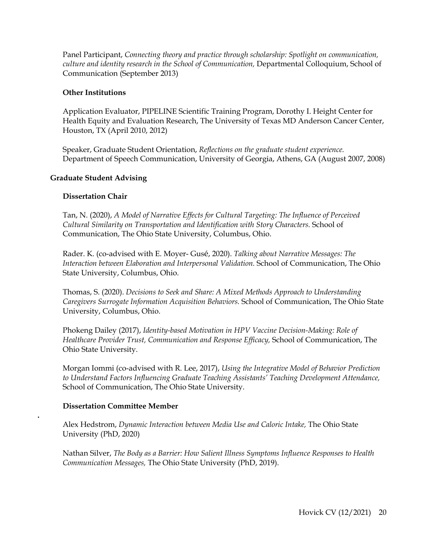Panel Participant, *Connecting theory and practice through scholarship: Spotlight on communication, culture and identity research in the School of Communication,* Departmental Colloquium, School of Communication (September 2013)

# **Other Institutions**

Application Evaluator, PIPELINE Scientific Training Program, Dorothy I. Height Center for Health Equity and Evaluation Research, The University of Texas MD Anderson Cancer Center, Houston, TX (April 2010, 2012)

Speaker, Graduate Student Orientation, *Reflections on the graduate student experience.* Department of Speech Communication, University of Georgia, Athens, GA (August 2007, 2008)

# **Graduate Student Advising**

# **Dissertation Chair**

Tan, N. (2020), *A Model of Narrative Effects for Cultural Targeting: The Influence of Perceived Cultural Similarity on Transportation and Identification with Story Characters.* School of Communication, The Ohio State University, Columbus, Ohio.

Rader. K. (co-advised with E. Moyer- Gusé, 2020). *Talking about Narrative Messages: The Interaction between Elaboration and Interpersonal Validation.* School of Communication, The Ohio State University, Columbus, Ohio.

Thomas, S. (2020). *Decisions to Seek and Share: A Mixed Methods Approach to Understanding Caregivers Surrogate Information Acquisition Behaviors.* School of Communication, The Ohio State University, Columbus, Ohio.

Phokeng Dailey (2017), *Identity-based Motivation in HPV Vaccine Decision-Making: Role of Healthcare Provider Trust, Communication and Response Efficacy,* School of Communication, The Ohio State University.

Morgan Iommi (co-advised with R. Lee, 2017), *Using the Integrative Model of Behavior Prediction to Understand Factors Influencing Graduate Teaching Assistants' Teaching Development Attendance,*  School of Communication, The Ohio State University.

#### **Dissertation Committee Member**

**.**

Alex Hedstrom, *Dynamic Interaction between Media Use and Caloric Intake,* The Ohio State University (PhD, 2020)

Nathan Silver, *The Body as a Barrier: How Salient Illness Symptoms Influence Responses to Health Communication Messages,* The Ohio State University (PhD, 2019).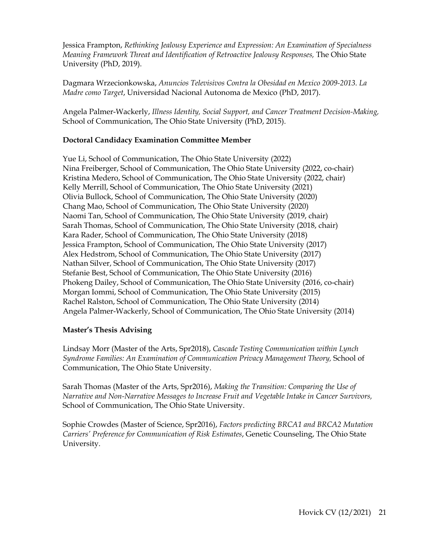Jessica Frampton, *Rethinking Jealousy Experience and Expression: An Examination of Specialness Meaning Framework Threat and Identification of Retroactive Jealousy Responses,* The Ohio State University (PhD, 2019).

Dagmara Wrzecionkowska, *Anuncios Televisivos Contra la Obesidad en Mexico 2009-2013. La Madre como Target*, Universidad Nacional Autonoma de Mexico (PhD, 2017).

Angela Palmer-Wackerly, *Illness Identity, Social Support, and Cancer Treatment Decision-Making,* School of Communication, The Ohio State University (PhD, 2015).

# **Doctoral Candidacy Examination Committee Member**

Yue Li, School of Communication, The Ohio State University (2022) Nina Freiberger, School of Communication, The Ohio State University (2022, co-chair) Kristina Medero, School of Communication, The Ohio State University (2022, chair) Kelly Merrill, School of Communication, The Ohio State University (2021) Olivia Bullock, School of Communication, The Ohio State University (2020) Chang Mao, School of Communication, The Ohio State University (2020) Naomi Tan, School of Communication, The Ohio State University (2019, chair) Sarah Thomas, School of Communication, The Ohio State University (2018, chair) Kara Rader, School of Communication, The Ohio State University (2018) Jessica Frampton, School of Communication, The Ohio State University (2017) Alex Hedstrom, School of Communication, The Ohio State University (2017) Nathan Silver, School of Communication, The Ohio State University (2017) Stefanie Best, School of Communication, The Ohio State University (2016) Phokeng Dailey, School of Communication, The Ohio State University (2016, co-chair) Morgan Iommi, School of Communication, The Ohio State University (2015) Rachel Ralston, School of Communication, The Ohio State University (2014) Angela Palmer-Wackerly, School of Communication, The Ohio State University (2014)

# **Master's Thesis Advising**

Lindsay Morr (Master of the Arts, Spr2018), *Cascade Testing Communication within Lynch Syndrome Families: An Examination of Communication Privacy Management Theory,* School of Communication, The Ohio State University.

Sarah Thomas (Master of the Arts, Spr2016), *Making the Transition: Comparing the Use of Narrative and Non-Narrative Messages to Increase Fruit and Vegetable Intake in Cancer Survivors,*  School of Communication, The Ohio State University.

Sophie Crowdes (Master of Science, Spr2016), *Factors predicting BRCA1 and BRCA2 Mutation Carriers' Preference for Communication of Risk Estimates*, Genetic Counseling, The Ohio State University.